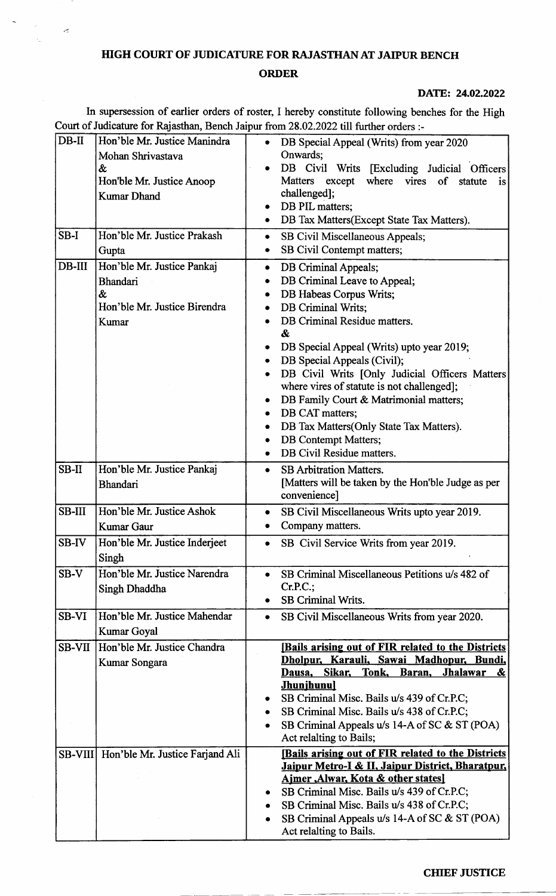## HIGH COURT OF JUDICATURE FOR RAJASTHAN AT JAIPUR BENCH

 $\epsilon$ 

## ORDER

## DATE: 24.02.2022

In supersession of earlier orders of roster, I hereby constitute following benches for the High Court of Judicature for Rajasthan, Bench Jaipur from 28.02.2022 till further orders :-

| $DB-II$       | Hon'ble Mr. Justice Manindra                    | $\bullet$ | DB Special Appeal (Writs) from year 2020                                         |
|---------------|-------------------------------------------------|-----------|----------------------------------------------------------------------------------|
|               | Mohan Shrivastava                               |           | Onwards;                                                                         |
|               | &                                               |           | DB Civil Writs [Excluding Judicial Officers<br>except where vires<br>Matters     |
|               | Hon'ble Mr. Justice Anoop<br><b>Kumar Dhand</b> |           | of<br>statute<br>is<br>challenged];                                              |
|               |                                                 |           | DB PIL matters;                                                                  |
|               |                                                 |           | DB Tax Matters(Except State Tax Matters).                                        |
| SB-I          | Hon'ble Mr. Justice Prakash                     | ٠         | SB Civil Miscellaneous Appeals;                                                  |
|               | Gupta                                           | ۰         | SB Civil Contempt matters;                                                       |
| $DB-III$      | Hon'ble Mr. Justice Pankaj                      | ۰         | DB Criminal Appeals;                                                             |
|               | <b>Bhandari</b>                                 |           | DB Criminal Leave to Appeal;                                                     |
|               | &<br>Hon'ble Mr. Justice Birendra               | $\bullet$ | DB Habeas Corpus Writs;                                                          |
|               | Kumar                                           |           | DB Criminal Writs;<br>DB Criminal Residue matters.                               |
|               |                                                 |           | &                                                                                |
|               |                                                 |           | DB Special Appeal (Writs) upto year 2019;                                        |
|               |                                                 |           | DB Special Appeals (Civil);                                                      |
|               |                                                 |           | DB Civil Writs [Only Judicial Officers Matters                                   |
|               |                                                 |           | where vires of statute is not challenged];                                       |
|               |                                                 |           | DB Family Court & Matrimonial matters;<br>DB CAT matters;                        |
|               |                                                 |           | DB Tax Matters(Only State Tax Matters).                                          |
|               |                                                 |           | <b>DB</b> Contempt Matters;                                                      |
|               |                                                 | $\bullet$ | DB Civil Residue matters.                                                        |
| SB-II         | Hon'ble Mr. Justice Pankaj                      | $\bullet$ | <b>SB Arbitration Matters.</b>                                                   |
|               | <b>Bhandari</b>                                 |           | [Matters will be taken by the Hon'ble Judge as per                               |
|               |                                                 |           | convenience]                                                                     |
| <b>SB-III</b> | Hon'ble Mr. Justice Ashok                       | ۰         | SB Civil Miscellaneous Writs upto year 2019.                                     |
|               | Kumar Gaur                                      |           | Company matters.                                                                 |
| SB-IV         | Hon'ble Mr. Justice Inderjeet                   |           | SB Civil Service Writs from year 2019.                                           |
|               | Singh                                           |           |                                                                                  |
| $SB-V$        | Hon'ble Mr. Justice Narendra                    |           | SB Criminal Miscellaneous Petitions u/s 482 of<br>$Cr.P.C.$ ;                    |
|               | Singh Dhaddha                                   |           | <b>SB Criminal Writs.</b>                                                        |
| <b>SB-VI</b>  | Hon'ble Mr. Justice Mahendar                    | ٠         | SB Civil Miscellaneous Writs from year 2020.                                     |
|               | Kumar Goyal                                     |           |                                                                                  |
| <b>SB-VII</b> | Hon'ble Mr. Justice Chandra                     |           | [Bails arising out of FIR related to the Districts]                              |
|               | Kumar Songara                                   |           | Dholpur, Karauli, Sawai Madhopur, Bundi,                                         |
|               |                                                 |           | Sikar,<br>Tonk,<br>Jhalawar<br>Dausa,<br>Baran,<br><u>&amp;</u>                  |
|               |                                                 |           | <b>Jhunjhunul</b><br>SB Criminal Misc. Bails u/s 439 of Cr.P.C;                  |
|               |                                                 | ٠         | SB Criminal Misc. Bails u/s 438 of Cr.P.C;                                       |
|               |                                                 |           | SB Criminal Appeals u/s 14-A of SC & ST (POA)                                    |
|               |                                                 |           | Act relaiting to Bails;                                                          |
|               | SB-VIII Hon'ble Mr. Justice Farjand Ali         |           | [Bails arising out of FIR related to the Districts                               |
|               |                                                 |           | Jaipur Metro-I & II, Jaipur District, Bharatpur,                                 |
|               |                                                 |           | Ajmer, Alwar, Kota & other states]<br>SB Criminal Misc. Bails u/s 439 of Cr.P.C; |
|               |                                                 |           | SB Criminal Misc. Bails u/s 438 of Cr.P.C;                                       |
|               |                                                 | ٠         | SB Criminal Appeals u/s 14-A of SC & ST (POA)                                    |
|               |                                                 |           | Act relaiting to Bails.                                                          |